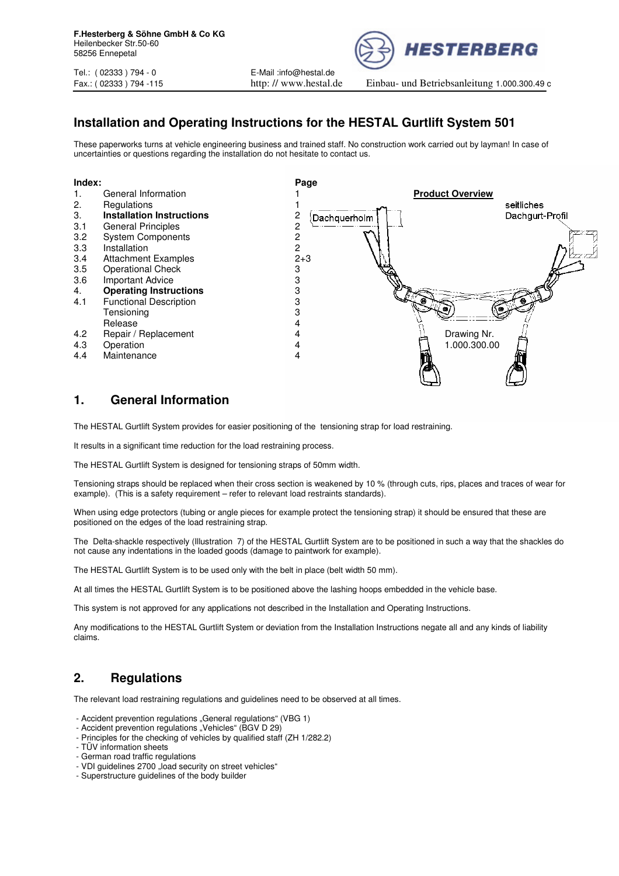Tel.: ( 02333 ) 794 - 0 E-Mail :info@hestal.de





**HESTERBERG** 

Fax.: ( 02333 ) 794 -115 http: // www.hestal.de Einbau- und Betriebsanleitung 1.000.300.49 c

# **Installation and Operating Instructions for the HESTAL Gurtlift System 501**

These paperworks turns at vehicle engineering business and trained staff. No construction work carried out by layman! In case of uncertainties or questions regarding the installation do not hesitate to contact us.



# **1. General Information**

The HESTAL Gurtlift System provides for easier positioning of the tensioning strap for load restraining.

It results in a significant time reduction for the load restraining process.

The HESTAL Gurtlift System is designed for tensioning straps of 50mm width.

Tensioning straps should be replaced when their cross section is weakened by 10 % (through cuts, rips, places and traces of wear for example). (This is a safety requirement – refer to relevant load restraints standards).

When using edge protectors (tubing or angle pieces for example protect the tensioning strap) it should be ensured that these are positioned on the edges of the load restraining strap.

The Delta-shackle respectively (Illustration 7) of the HESTAL Gurtlift System are to be positioned in such a way that the shackles do not cause any indentations in the loaded goods (damage to paintwork for example).

The HESTAL Gurtlift System is to be used only with the belt in place (belt width 50 mm).

At all times the HESTAL Gurtlift System is to be positioned above the lashing hoops embedded in the vehicle base.

This system is not approved for any applications not described in the Installation and Operating Instructions.

Any modifications to the HESTAL Gurtlift System or deviation from the Installation Instructions negate all and any kinds of liability claims.

# **2. Regulations**

The relevant load restraining regulations and guidelines need to be observed at all times.

- Accident prevention regulations "General regulations" (VBG 1)
- Accident prevention regulations "Vehicles" (BGV D 29)
- Principles for the checking of vehicles by qualified staff (ZH 1/282.2)
- TÜV information sheets
- German road traffic regulations
- VDI guidelines 2700 "load security on street vehicles"
- Superstructure guidelines of the body builder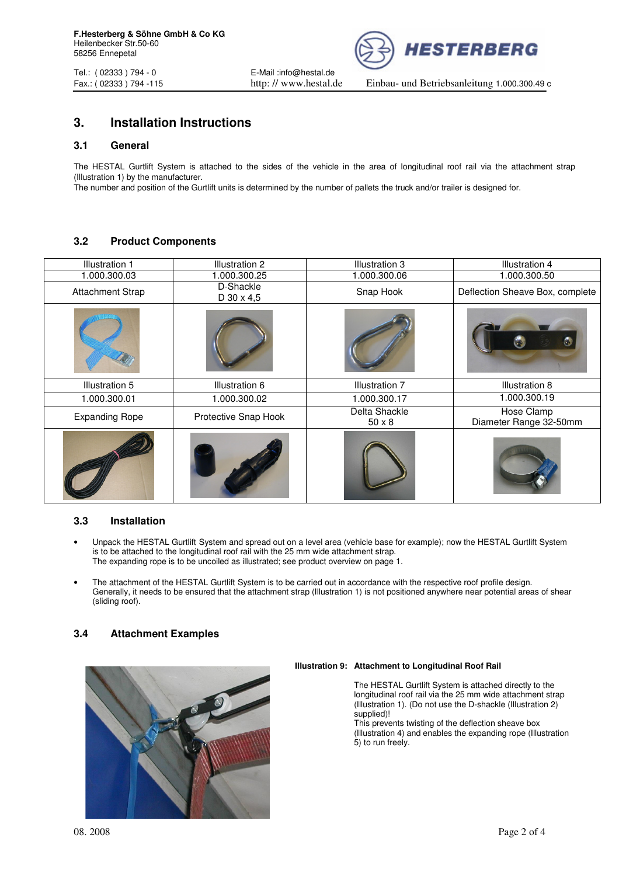

Tel.: ( 02333 ) 794 - 0 E-Mail :info@hestal.de

Fax.: ( 02333 ) 794 -115 http: // www.hestal.de Einbau- und Betriebsanleitung 1.000.300.49 c

# **3. Installation Instructions**

## **3.1 General**

The HESTAL Gurtlift System is attached to the sides of the vehicle in the area of longitudinal roof rail via the attachment strap (Illustration 1) by the manufacturer.

The number and position of the Gurtlift units is determined by the number of pallets the truck and/or trailer is designed for.

# **3.2 Product Components**

| <b>Illustration 1</b>   | Illustration 2            | Illustration 3                 | <b>Illustration 4</b>                |
|-------------------------|---------------------------|--------------------------------|--------------------------------------|
| 1.000.300.03            | 1.000.300.25              | 1.000.300.06                   | 1.000.300.50                         |
| <b>Attachment Strap</b> | D-Shackle<br>$D$ 30 x 4,5 | Snap Hook                      | Deflection Sheave Box, complete      |
|                         |                           |                                | Сũ                                   |
| Illustration 5          | Illustration 6            | <b>Illustration 7</b>          | Illustration 8                       |
| 1.000.300.01            | 1.000.300.02              | 1.000.300.17                   | 1.000.300.19                         |
| <b>Expanding Rope</b>   | Protective Snap Hook      | Delta Shackle<br>$50 \times 8$ | Hose Clamp<br>Diameter Range 32-50mm |
|                         |                           |                                |                                      |

# **3.3 Installation**

- Unpack the HESTAL Gurtlift System and spread out on a level area (vehicle base for example); now the HESTAL Gurtlift System is to be attached to the longitudinal roof rail with the 25 mm wide attachment strap. The expanding rope is to be uncoiled as illustrated; see product overview on page 1.
- The attachment of the HESTAL Gurtlift System is to be carried out in accordance with the respective roof profile design. Generally, it needs to be ensured that the attachment strap (Illustration 1) is not positioned anywhere near potential areas of shear (sliding roof).

# **3.4 Attachment Examples**



#### **Illustration 9: Attachment to Longitudinal Roof Rail**

 The HESTAL Gurtlift System is attached directly to the longitudinal roof rail via the 25 mm wide attachment strap (Illustration 1). (Do not use the D-shackle (Illustration 2) supplied)!

This prevents twisting of the deflection sheave box (Illustration 4) and enables the expanding rope (Illustration 5) to run freely.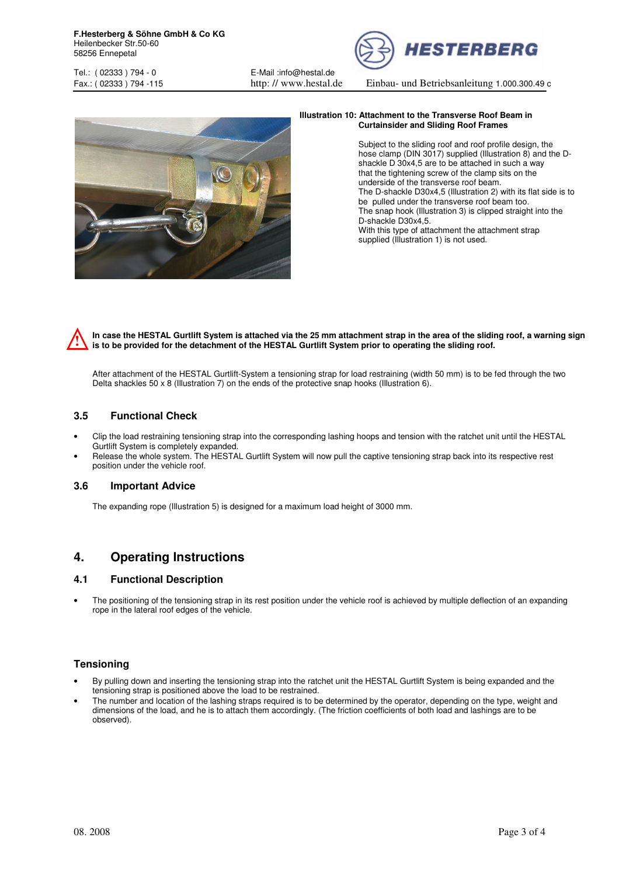*HESTERBERG* 

Tel.: ( 02333 ) 794 - 0 E-Mail :info@hestal.de

Fax.: ( 02333 ) 794 -115 http: // www.hestal.de Einbau- und Betriebsanleitung 1.000.300.49 c



#### **Illustration 10: Attachment to the Transverse Roof Beam in Curtainsider and Sliding Roof Frames**

Subject to the sliding roof and roof profile design, the hose clamp (DIN 3017) supplied (Illustration 8) and the D shackle D 30x4,5 are to be attached in such a way that the tightening screw of the clamp sits on the underside of the transverse roof beam. The D-shackle D30x4,5 (Illustration 2) with its flat side is to be pulled under the transverse roof beam too. The snap hook (Illustration 3) is clipped straight into the D-shackle D30x4,5. With this type of attachment the attachment strap supplied (Illustration 1) is not used.

**In case the HESTAL Gurtlift System is attached via the 25 mm attachment strap in the area of the sliding roof, a warning sign is to be provided for the detachment of the HESTAL Gurtlift System prior to operating the sliding roof.**   $\boldsymbol{\hat{\mathbf{y}}}$ 

After attachment of the HESTAL Gurtlift-System a tensioning strap for load restraining (width 50 mm) is to be fed through the two Delta shackles 50 x 8 (Illustration 7) on the ends of the protective snap hooks (Illustration 6).

# **3.5 Functional Check**

- Clip the load restraining tensioning strap into the corresponding lashing hoops and tension with the ratchet unit until the HESTAL Gurtlift System is completely expanded.
- Release the whole system. The HESTAL Gurtlift System will now pull the captive tensioning strap back into its respective rest position under the vehicle roof.

# **3.6 Important Advice**

The expanding rope (Illustration 5) is designed for a maximum load height of 3000 mm.

# **4. Operating Instructions**

# **4.1 Functional Description**

• The positioning of the tensioning strap in its rest position under the vehicle roof is achieved by multiple deflection of an expanding rope in the lateral roof edges of the vehicle.

# **Tensioning**

- By pulling down and inserting the tensioning strap into the ratchet unit the HESTAL Gurtlift System is being expanded and the tensioning strap is positioned above the load to be restrained.
- The number and location of the lashing straps required is to be determined by the operator, depending on the type, weight and dimensions of the load, and he is to attach them accordingly. (The friction coefficients of both load and lashings are to be observed).